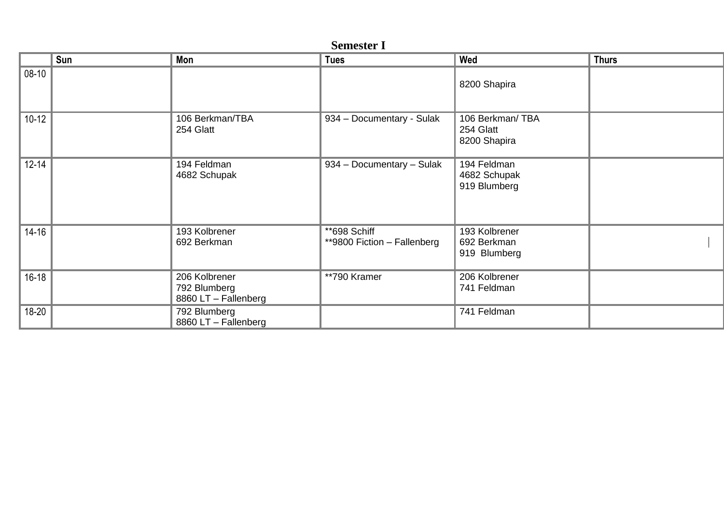| <b>Semester I</b> |  |
|-------------------|--|
|-------------------|--|

|           | Sun | Mon                                                   | <b>Tues</b>                                    | Wed                                          | <b>Thurs</b> |
|-----------|-----|-------------------------------------------------------|------------------------------------------------|----------------------------------------------|--------------|
| $08-10$   |     |                                                       |                                                | 8200 Shapira                                 |              |
| $10-12$   |     | 106 Berkman/TBA<br>254 Glatt                          | 934 - Documentary - Sulak                      | 106 Berkman/TBA<br>254 Glatt<br>8200 Shapira |              |
| $12 - 14$ |     | 194 Feldman<br>4682 Schupak                           | 934 - Documentary - Sulak                      | 194 Feldman<br>4682 Schupak<br>919 Blumberg  |              |
| $14 - 16$ |     | 193 Kolbrener<br>692 Berkman                          | $**$ 698 Schiff<br>**9800 Fiction - Fallenberg | 193 Kolbrener<br>692 Berkman<br>919 Blumberg |              |
| $16 - 18$ |     | 206 Kolbrener<br>792 Blumberg<br>8860 LT - Fallenberg | **790 Kramer                                   | 206 Kolbrener<br>741 Feldman                 |              |
| 18-20     |     | 792 Blumberg<br>8860 LT - Fallenberg                  |                                                | 741 Feldman                                  |              |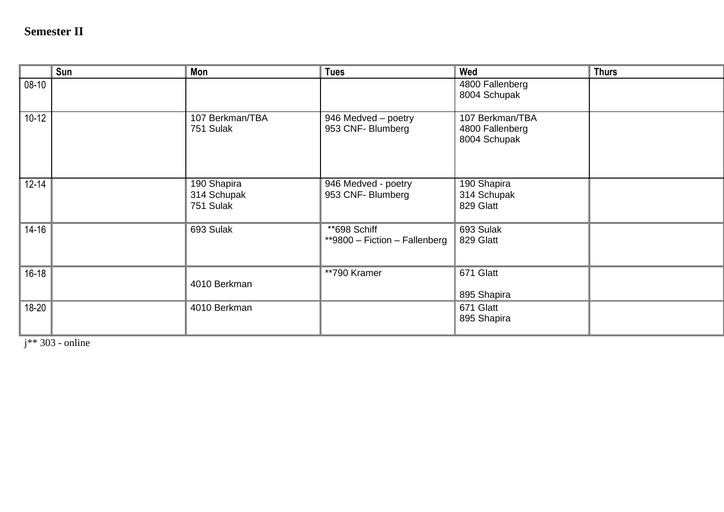## **Semester II**

|           | Sun | Mon                                     | <b>Tues</b>                                   | Wed                                                | <b>Thurs</b> |
|-----------|-----|-----------------------------------------|-----------------------------------------------|----------------------------------------------------|--------------|
| $08-10$   |     |                                         |                                               | 4800 Fallenberg<br>8004 Schupak                    |              |
| $10-12$   |     | 107 Berkman/TBA<br>751 Sulak            | 946 Medved - poetry<br>953 CNF- Blumberg      | 107 Berkman/TBA<br>4800 Fallenberg<br>8004 Schupak |              |
| $12 - 14$ |     | 190 Shapira<br>314 Schupak<br>751 Sulak | 946 Medved - poetry<br>953 CNF- Blumberg      | 190 Shapira<br>314 Schupak<br>829 Glatt            |              |
| $14 - 16$ |     | 693 Sulak                               | **698 Schiff<br>**9800 - Fiction - Fallenberg | 693 Sulak<br>829 Glatt                             |              |
| $16 - 18$ |     | 4010 Berkman                            | **790 Kramer                                  | 671 Glatt<br>895 Shapira                           |              |
| 18-20     |     | 4010 Berkman                            |                                               | 671 Glatt<br>895 Shapira                           |              |

 $j** 303$  - online